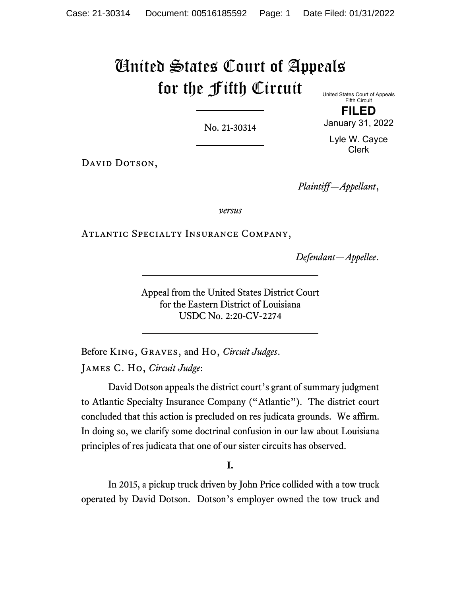# United States Court of Appeals for the Fifth Circuit United States Court of Appeals

No. 21-30314

Fifth Circuit

DAVID DOTSON,

*Plaintiff—Appellant*,

*versus*

Atlantic Specialty Insurance Company,

*Defendant—Appellee*.

Appeal from the United States District Court for the Eastern District of Louisiana USDC No. 2:20-CV-2274

Before King, Graves, and Ho, *Circuit Judges*. James C. Ho, *Circuit Judge*:

David Dotson appeals the district court's grant of summary judgment to Atlantic Specialty Insurance Company ("Atlantic"). The district court concluded that this action is precluded on res judicata grounds. We affirm. In doing so, we clarify some doctrinal confusion in our law about Louisiana principles of res judicata that one of our sister circuits has observed.

**I.**

In 2015, a pickup truck driven by John Price collided with a tow truck operated by David Dotson. Dotson's employer owned the tow truck and

**FILED** January 31, 2022

Lyle W. Cayce Clerk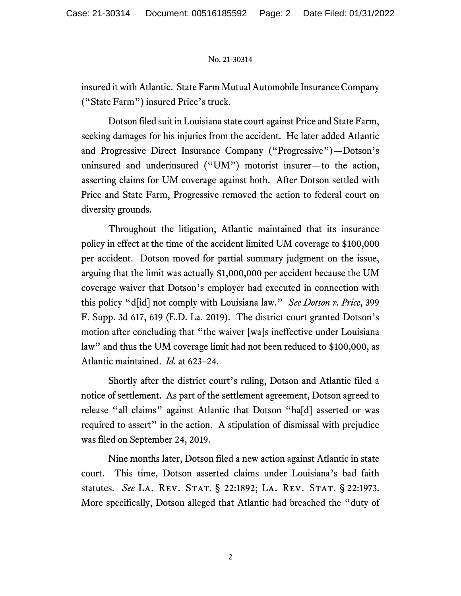insured it with Atlantic. State Farm Mutual Automobile Insurance Company ("State Farm") insured Price's truck.

Dotson filed suit in Louisiana state court against Price and State Farm, seeking damages for his injuries from the accident. He later added Atlantic and Progressive Direct Insurance Company ("Progressive")—Dotson's uninsured and underinsured ("UM") motorist insurer—to the action, asserting claims for UM coverage against both. After Dotson settled with Price and State Farm, Progressive removed the action to federal court on diversity grounds.

Throughout the litigation, Atlantic maintained that its insurance policy in effect at the time of the accident limited UM coverage to \$100,000 per accident. Dotson moved for partial summary judgment on the issue, arguing that the limit was actually \$1,000,000 per accident because the UM coverage waiver that Dotson's employer had executed in connection with this policy "d[id] not comply with Louisiana law." *See Dotson v. Price*, 399 F. Supp. 3d 617, 619 (E.D. La. 2019). The district court granted Dotson's motion after concluding that "the waiver [wa]s ineffective under Louisiana law" and thus the UM coverage limit had not been reduced to \$100,000, as Atlantic maintained. *Id.* at 623–24.

Shortly after the district court's ruling, Dotson and Atlantic filed a notice of settlement. As part of the settlement agreement, Dotson agreed to release "all claims" against Atlantic that Dotson "ha[d] asserted or was required to assert" in the action. A stipulation of dismissal with prejudice was filed on September 24, 2019.

Nine months later, Dotson filed a new action against Atlantic in state court. This time, Dotson asserted claims under Louisiana's bad faith statutes. *See* La. Rev. Stat. § 22:1892; La. Rev. Stat. § 22:1973. More specifically, Dotson alleged that Atlantic had breached the "duty of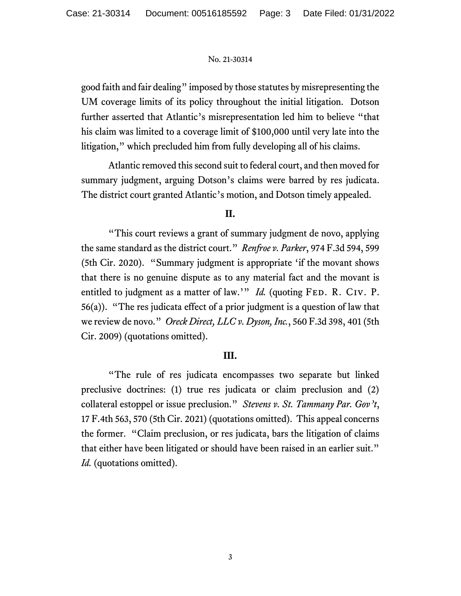good faith and fair dealing" imposed by those statutes by misrepresenting the UM coverage limits of its policy throughout the initial litigation. Dotson further asserted that Atlantic's misrepresentation led him to believe "that his claim was limited to a coverage limit of \$100,000 until very late into the litigation," which precluded him from fully developing all of his claims.

Atlantic removed this second suit to federal court, and then moved for summary judgment, arguing Dotson's claims were barred by res judicata. The district court granted Atlantic's motion, and Dotson timely appealed.

## **II.**

"This court reviews a grant of summary judgment de novo, applying the same standard as the district court." *Renfroe v. Parker*, 974 F.3d 594, 599 (5th Cir. 2020). "Summary judgment is appropriate 'if the movant shows that there is no genuine dispute as to any material fact and the movant is entitled to judgment as a matter of law.'" *Id.* (quoting FED. R. CIV. P. 56(a)). "The res judicata effect of a prior judgment is a question of law that we review de novo." *Oreck Direct, LLC v. Dyson, Inc.*, 560 F.3d 398, 401 (5th Cir. 2009) (quotations omitted).

## **III.**

"The rule of res judicata encompasses two separate but linked preclusive doctrines: (1) true res judicata or claim preclusion and (2) collateral estoppel or issue preclusion." *Stevens v. St. Tammany Par. Gov't*, 17 F.4th 563, 570 (5th Cir. 2021) (quotations omitted). This appeal concerns the former. "Claim preclusion, or res judicata, bars the litigation of claims that either have been litigated or should have been raised in an earlier suit." *Id.* (quotations omitted).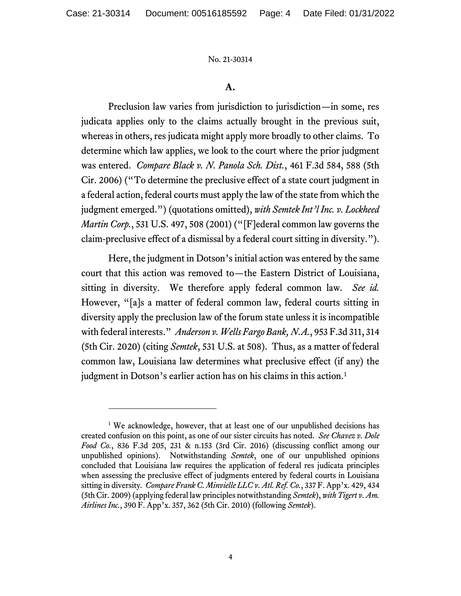## **A.**

Preclusion law varies from jurisdiction to jurisdiction—in some, res judicata applies only to the claims actually brought in the previous suit, whereas in others, res judicata might apply more broadly to other claims. To determine which law applies, we look to the court where the prior judgment was entered. *Compare Black v. N. Panola Sch. Dist.*, 461 F.3d 584, 588 (5th Cir. 2006) ("To determine the preclusive effect of a state court judgment in a federal action, federal courts must apply the law of the state from which the judgment emerged.") (quotations omitted), *with Semtek Int'l Inc. v. Lockheed Martin Corp.*, 531 U.S. 497, 508 (2001) ("[F]ederal common law governs the claim-preclusive effect of a dismissal by a federal court sitting in diversity.").

Here, the judgment in Dotson's initial action was entered by the same court that this action was removed to—the Eastern District of Louisiana, sitting in diversity. We therefore apply federal common law. *See id.* However, "[a]s a matter of federal common law, federal courts sitting in diversity apply the preclusion law of the forum state unless it is incompatible with federal interests." *Anderson v. Wells Fargo Bank, N.A.*, 953 F.3d 311, 314 (5th Cir. 2020) (citing *Semtek*, 531 U.S. at 508). Thus, as a matter of federal common law, Louisiana law determines what preclusive effect (if any) the judgment in Dotson's earlier action has on his claims in this action. [1](#page-3-0)

<span id="page-3-0"></span><sup>&</sup>lt;sup>1</sup> We acknowledge, however, that at least one of our unpublished decisions has created confusion on this point, as one of our sister circuits has noted. *See Chavez v. Dole Food Co.*, 836 F.3d 205, 231 & n.153 (3rd Cir. 2016) (discussing conflict among our unpublished opinions). Notwithstanding *Semtek*, one of our unpublished opinions concluded that Louisiana law requires the application of federal res judicata principles when assessing the preclusive effect of judgments entered by federal courts in Louisiana sitting in diversity*. Compare Frank C. Minvielle LLC v. Atl. Ref. Co.*, 337 F. App'x. 429, 434 (5th Cir. 2009) (applying federal law principles notwithstanding *Semtek*), *with Tigert v. Am. Airlines Inc.*, 390 F. App'x. 357, 362 (5th Cir. 2010) (following *Semtek*).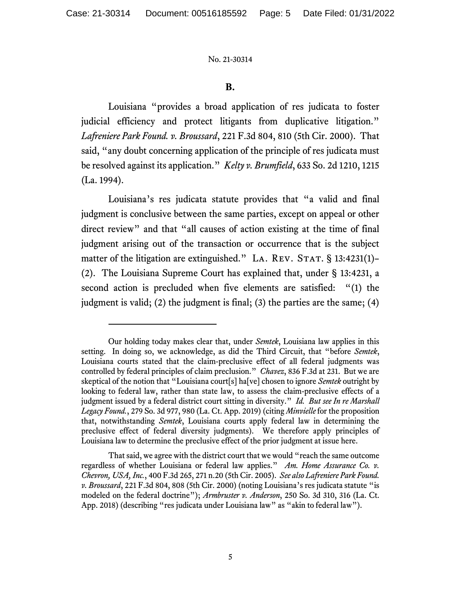## **B.**

Louisiana "provides a broad application of res judicata to foster judicial efficiency and protect litigants from duplicative litigation." *Lafreniere Park Found. v. Broussard*, 221 F.3d 804, 810 (5th Cir. 2000). That said, "any doubt concerning application of the principle of res judicata must be resolved against its application." *Kelty v. Brumfield*, 633 So. 2d 1210, 1215 (La. 1994).

Louisiana's res judicata statute provides that "a valid and final judgment is conclusive between the same parties, except on appeal or other direct review" and that "all causes of action existing at the time of final judgment arising out of the transaction or occurrence that is the subject matter of the litigation are extinguished." LA. REV. STAT.  $\S$  13:4231(1)– (2). The Louisiana Supreme Court has explained that, under § 13:4231, a second action is precluded when five elements are satisfied: "(1) the judgment is valid; (2) the judgment is final; (3) the parties are the same; (4)

Our holding today makes clear that, under *Semtek*, Louisiana law applies in this setting. In doing so, we acknowledge, as did the Third Circuit, that "before *Semtek*, Louisiana courts stated that the claim-preclusive effect of all federal judgments was controlled by federal principles of claim preclusion." *Chavez*, 836 F.3d at 231. But we are skeptical of the notion that "Louisiana court[s] ha[ve] chosen to ignore *Semtek* outright by looking to federal law, rather than state law, to assess the claim-preclusive effects of a judgment issued by a federal district court sitting in diversity." *Id. But see In re Marshall Legacy Found.*, 279 So. 3d 977, 980 (La. Ct. App. 2019) (citing *Minvielle* for the proposition that, notwithstanding *Semtek*, Louisiana courts apply federal law in determining the preclusive effect of federal diversity judgments). We therefore apply principles of Louisiana law to determine the preclusive effect of the prior judgment at issue here.

That said, we agree with the district court that we would "reach the same outcome regardless of whether Louisiana or federal law applies." *Am. Home Assurance Co. v. Chevron, USA, Inc.*, 400 F.3d 265, 271 n.20 (5th Cir. 2005). *See also Lafreniere Park Found. v. Broussard*, 221 F.3d 804, 808 (5th Cir. 2000) (noting Louisiana's res judicata statute "is modeled on the federal doctrine"); *Armbruster v. Anderson*, 250 So. 3d 310, 316 (La. Ct. App. 2018) (describing "res judicata under Louisiana law" as "akin to federal law").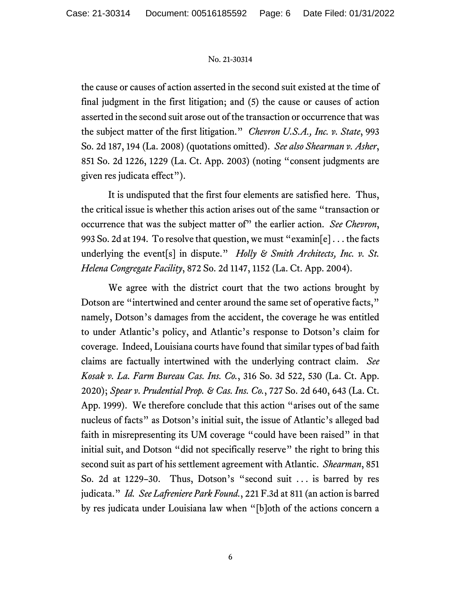the cause or causes of action asserted in the second suit existed at the time of final judgment in the first litigation; and (5) the cause or causes of action asserted in the second suit arose out of the transaction or occurrence that was the subject matter of the first litigation." *Chevron U.S.A., Inc. v. State*, 993 So. 2d 187, 194 (La. 2008) (quotations omitted). *See also Shearman v. Asher*, 851 So. 2d 1226, 1229 (La. Ct. App. 2003) (noting "consent judgments are given res judicata effect").

It is undisputed that the first four elements are satisfied here. Thus, the critical issue is whether this action arises out of the same "transaction or occurrence that was the subject matter of" the earlier action. *See Chevron*, 993 So. 2d at 194. To resolve that question, we must "examin[e] . . . the facts underlying the event[s] in dispute." *Holly & Smith Architects, Inc. v. St. Helena Congregate Facility*, 872 So. 2d 1147, 1152 (La. Ct. App. 2004).

We agree with the district court that the two actions brought by Dotson are "intertwined and center around the same set of operative facts," namely, Dotson's damages from the accident, the coverage he was entitled to under Atlantic's policy, and Atlantic's response to Dotson's claim for coverage. Indeed, Louisiana courts have found that similar types of bad faith claims are factually intertwined with the underlying contract claim. *See Kosak v. La. Farm Bureau Cas. Ins. Co.*, 316 So. 3d 522, 530 (La. Ct. App. 2020); *Spear v. Prudential Prop. & Cas. Ins. Co.*, 727 So. 2d 640, 643 (La. Ct. App. 1999). We therefore conclude that this action "arises out of the same nucleus of facts" as Dotson's initial suit, the issue of Atlantic's alleged bad faith in misrepresenting its UM coverage "could have been raised" in that initial suit, and Dotson "did not specifically reserve" the right to bring this second suit as part of his settlement agreement with Atlantic. *Shearman*, 851 So. 2d at 1229–30. Thus, Dotson's "second suit . . . is barred by res judicata." *Id. See Lafreniere Park Found.*, 221 F.3d at 811 (an action is barred by res judicata under Louisiana law when "[b]oth of the actions concern a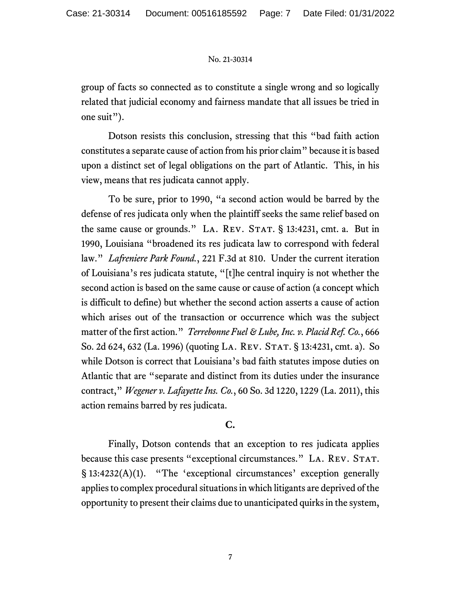group of facts so connected as to constitute a single wrong and so logically related that judicial economy and fairness mandate that all issues be tried in one suit").

Dotson resists this conclusion, stressing that this "bad faith action constitutes a separate cause of action from his prior claim" because it is based upon a distinct set of legal obligations on the part of Atlantic. This, in his view, means that res judicata cannot apply.

To be sure, prior to 1990, "a second action would be barred by the defense of res judicata only when the plaintiff seeks the same relief based on the same cause or grounds." LA. REV. STAT. § 13:4231, cmt. a. But in 1990, Louisiana "broadened its res judicata law to correspond with federal law." *Lafreniere Park Found.*, 221 F.3d at 810. Under the current iteration of Louisiana's res judicata statute, "[t]he central inquiry is not whether the second action is based on the same cause or cause of action (a concept which is difficult to define) but whether the second action asserts a cause of action which arises out of the transaction or occurrence which was the subject matter of the first action." *Terrebonne Fuel & Lube, Inc. v. Placid Ref. Co.*, 666 So. 2d 624, 632 (La. 1996) (quoting LA. REV. STAT. § 13:4231, cmt. a). So while Dotson is correct that Louisiana's bad faith statutes impose duties on Atlantic that are "separate and distinct from its duties under the insurance contract," *Wegener v. Lafayette Ins. Co.*, 60 So. 3d 1220, 1229 (La. 2011), this action remains barred by res judicata.

## **C.**

Finally, Dotson contends that an exception to res judicata applies because this case presents "exceptional circumstances." LA. REV. STAT. § 13:4232(A)(1). "The 'exceptional circumstances' exception generally applies to complex procedural situations in which litigants are deprived of the opportunity to present their claims due to unanticipated quirks in the system,